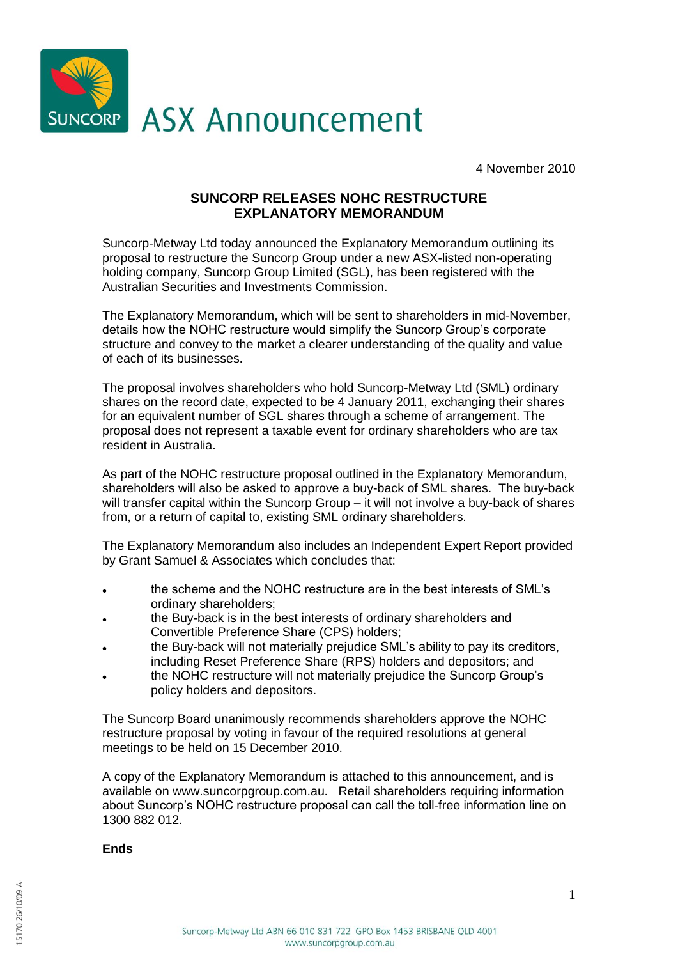

4 November 2010

## **SUNCORP RELEASES NOHC RESTRUCTURE EXPLANATORY MEMORANDUM**

Suncorp-Metway Ltd today announced the Explanatory Memorandum outlining its proposal to restructure the Suncorp Group under a new ASX-listed non-operating holding company, Suncorp Group Limited (SGL), has been registered with the Australian Securities and Investments Commission.

The Explanatory Memorandum, which will be sent to shareholders in mid-November, details how the NOHC restructure would simplify the Suncorp Group's corporate structure and convey to the market a clearer understanding of the quality and value of each of its businesses.

The proposal involves shareholders who hold Suncorp-Metway Ltd (SML) ordinary shares on the record date, expected to be 4 January 2011, exchanging their shares for an equivalent number of SGL shares through a scheme of arrangement. The proposal does not represent a taxable event for ordinary shareholders who are tax resident in Australia.

As part of the NOHC restructure proposal outlined in the Explanatory Memorandum, shareholders will also be asked to approve a buy-back of SML shares. The buy-back will transfer capital within the Suncorp Group – it will not involve a buy-back of shares from, or a return of capital to, existing SML ordinary shareholders.

The Explanatory Memorandum also includes an Independent Expert Report provided by Grant Samuel & Associates which concludes that:

- the scheme and the NOHC restructure are in the best interests of SML's  $\bullet$ ordinary shareholders;
- the Buy-back is in the best interests of ordinary shareholders and Convertible Preference Share (CPS) holders;
- the Buy-back will not materially prejudice SML's ability to pay its creditors, including Reset Preference Share (RPS) holders and depositors; and
- the NOHC restructure will not materially prejudice the Suncorp Group's policy holders and depositors.

The Suncorp Board unanimously recommends shareholders approve the NOHC restructure proposal by voting in favour of the required resolutions at general meetings to be held on 15 December 2010.

A copy of the Explanatory Memorandum is attached to this announcement, and is available on www.suncorpgroup.com.au. Retail shareholders requiring information about Suncorp's NOHC restructure proposal can call the toll-free information line on 1300 882 012.

**Ends**